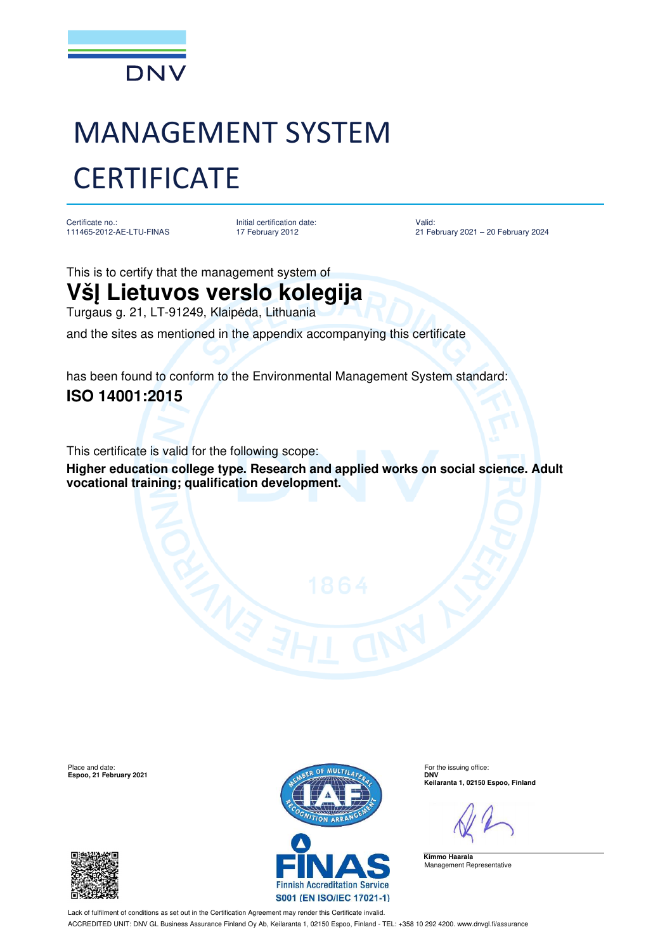

## MANAGEMENT SYSTEM **CERTIFICATE**

Certificate no.: 111465-2012-AE-LTU-FINAS Initial certification date: 17 February 2012

Valid: 21 February 2021 – 20 February 2024

This is to certify that the management system of

## **VšĮ Lietuvos verslo kolegija**

Turgaus g. 21, LT-91249, Klaipėda, Lithuania

and the sites as mentioned in the appendix accompanying this certificate

has been found to conform to the Environmental Management System standard: **ISO 14001:2015**

This certificate is valid for the following scope:

**Higher education college type. Research and applied works on social science. Adult vocational training; qualification development.**

**Espoo, 21 February 2021** 





**Keilaranta 1, 02150 Espoo, Finland**

**Kimmo Haarala** Management Representative

Lack of fulfilment of conditions as set out in the Certification Agreement may render this Certificate invalid. ACCREDITED UNIT: DNV GL Business Assurance Finland Oy Ab, Keilaranta 1, 02150 Espoo, Finland - TEL: +358 10 292 4200. www.dnvgl.fi/assurance